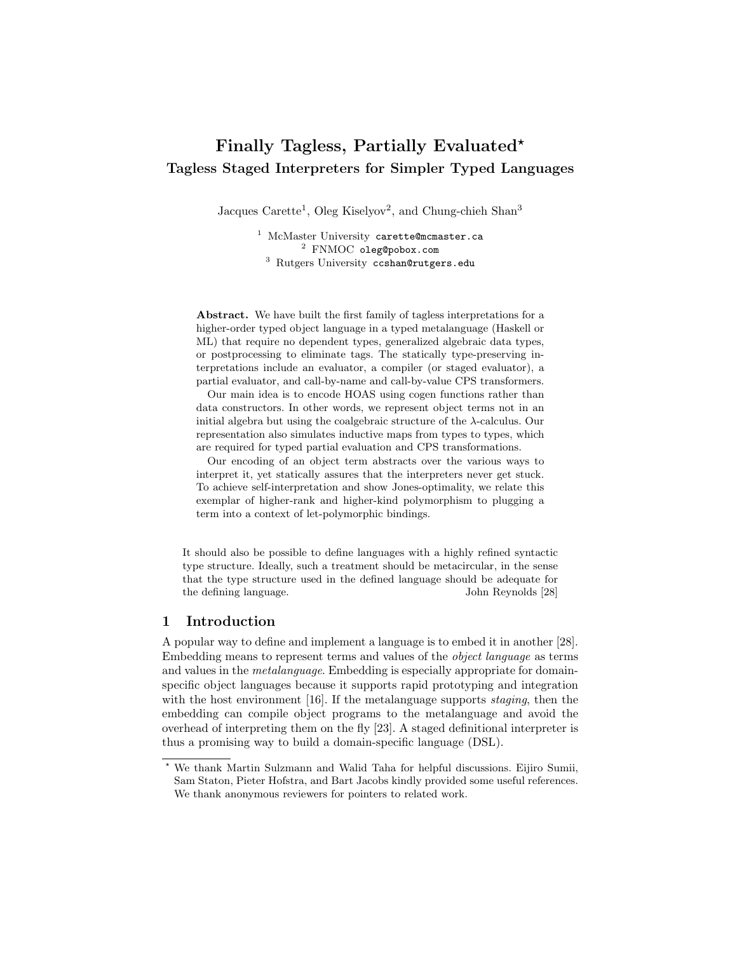# Finally Tagless, Partially Evaluated<sup>\*</sup> Tagless Staged Interpreters for Simpler Typed Languages

Jacques Carette<sup>1</sup>, Oleg Kiselyov<sup>2</sup>, and Chung-chieh Shan<sup>3</sup>

<sup>1</sup> McMaster University carette@mcmaster.ca <sup>2</sup> FNMOC oleg@pobox.com <sup>3</sup> Rutgers University ccshan@rutgers.edu

Abstract. We have built the first family of tagless interpretations for a higher-order typed object language in a typed metalanguage (Haskell or ML) that require no dependent types, generalized algebraic data types, or postprocessing to eliminate tags. The statically type-preserving interpretations include an evaluator, a compiler (or staged evaluator), a partial evaluator, and call-by-name and call-by-value CPS transformers.

Our main idea is to encode HOAS using cogen functions rather than data constructors. In other words, we represent object terms not in an initial algebra but using the coalgebraic structure of the  $\lambda$ -calculus. Our representation also simulates inductive maps from types to types, which are required for typed partial evaluation and CPS transformations.

Our encoding of an object term abstracts over the various ways to interpret it, yet statically assures that the interpreters never get stuck. To achieve self-interpretation and show Jones-optimality, we relate this exemplar of higher-rank and higher-kind polymorphism to plugging a term into a context of let-polymorphic bindings.

It should also be possible to define languages with a highly refined syntactic type structure. Ideally, such a treatment should be metacircular, in the sense that the type structure used in the defined language should be adequate for the defining language. John Reynolds [28]

# 1 Introduction

A popular way to define and implement a language is to embed it in another [28]. Embedding means to represent terms and values of the object language as terms and values in the metalanguage. Embedding is especially appropriate for domainspecific object languages because it supports rapid prototyping and integration with the host environment [16]. If the metalanguage supports staging, then the embedding can compile object programs to the metalanguage and avoid the overhead of interpreting them on the fly [23]. A staged definitional interpreter is thus a promising way to build a domain-specific language (DSL).

<sup>?</sup> We thank Martin Sulzmann and Walid Taha for helpful discussions. Eijiro Sumii, Sam Staton, Pieter Hofstra, and Bart Jacobs kindly provided some useful references. We thank anonymous reviewers for pointers to related work.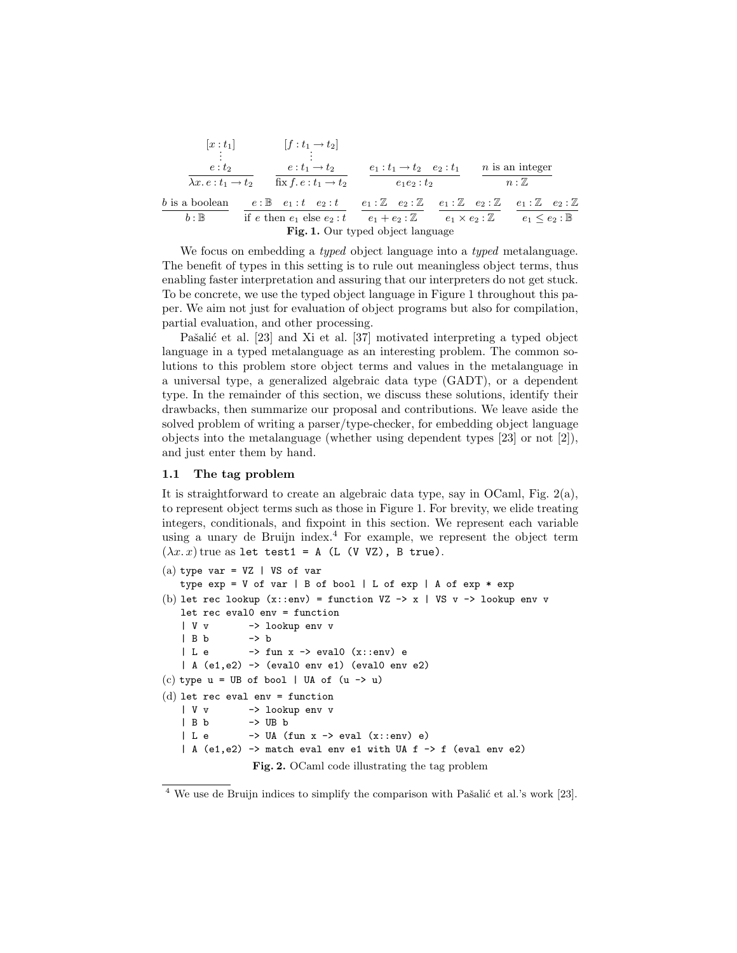| $[x:t_1]$      |                                                             | $[f: t_1 \rightarrow t_2]$                                                                    |                                                             |  |                                                                                                             |                                      |  |                    |  |
|----------------|-------------------------------------------------------------|-----------------------------------------------------------------------------------------------|-------------------------------------------------------------|--|-------------------------------------------------------------------------------------------------------------|--------------------------------------|--|--------------------|--|
| $e : t_2$      |                                                             | $e:t_1\rightarrow t_2$<br>$\lambda x.\,e: t_1 \rightarrow t_2$ fix $f.e: t_1 \rightarrow t_2$ | $e_1: t_1 \rightarrow t_2 \quad e_2: t_1$<br>$e_1e_2 : t_2$ |  |                                                                                                             | $n$ is an integer<br>$n: \mathbb{Z}$ |  |                    |  |
| b is a boolean |                                                             | $e:\mathbb{B}$ $e_1:t$ $e_2:t$                                                                |                                                             |  | $e_1: \mathbb{Z}$ $e_2: \mathbb{Z}$ $e_1: \mathbb{Z}$ $e_2: \mathbb{Z}$ $e_1: \mathbb{Z}$ $e_2: \mathbb{Z}$ |                                      |  |                    |  |
| $b:\mathbb{B}$ | if e then $e_1$ else $e_2 : t \quad e_1 + e_2 : \mathbb{Z}$ |                                                                                               |                                                             |  |                                                                                                             | $e_1 \times e_2 : \mathbb{Z}$        |  | $e_1 \leq e_2$ : B |  |
|                |                                                             | Fig. 1. Our typed object language                                                             |                                                             |  |                                                                                                             |                                      |  |                    |  |

We focus on embedding a typed object language into a typed metalanguage. The benefit of types in this setting is to rule out meaningless object terms, thus enabling faster interpretation and assuring that our interpreters do not get stuck. To be concrete, we use the typed object language in Figure 1 throughout this paper. We aim not just for evaluation of object programs but also for compilation, partial evaluation, and other processing.

Pašalić et al. [23] and Xi et al. [37] motivated interpreting a typed object language in a typed metalanguage as an interesting problem. The common solutions to this problem store object terms and values in the metalanguage in a universal type, a generalized algebraic data type (GADT), or a dependent type. In the remainder of this section, we discuss these solutions, identify their drawbacks, then summarize our proposal and contributions. We leave aside the solved problem of writing a parser/type-checker, for embedding object language objects into the metalanguage (whether using dependent types [23] or not [2]), and just enter them by hand.

### 1.1 The tag problem

It is straightforward to create an algebraic data type, say in OCaml, Fig. 2(a), to represent object terms such as those in Figure 1. For brevity, we elide treating integers, conditionals, and fixpoint in this section. We represent each variable using a unary de Bruijn index.<sup>4</sup> For example, we represent the object term  $(\lambda x. x)$  true as let test1 = A (L (V VZ), B true).

```
(a) type var = VZ | VS of var
   type \exp = V of \varphi | B of bool | L of \exp | A of \exp * \exp(b) let rec lookup (x::env) = function VZ \rightarrow x | VS v \rightarrow lookup env v
   let rec eval0 env = function
   | V v -> lookup env v
   | B b -> b
   | L e \rightarrow fun x -> eval0 (x::env) e
   | A (e1,e2) -> (eval0 env e1) (eval0 env e2)
(c) type u = UB of bool | UA of (u \rightarrow u)(d) let rec eval env = function
   | V v -> lookup env v
   | B b -> UB b
   | L e \rightarrow UA (fun x -> eval (x::env) e)
   | A (e1,e2) -> match eval env e1 with UA f -> f (eval env e2)
                Fig. 2. OCaml code illustrating the tag problem
```
 $4$  We use de Bruijn indices to simplify the comparison with Pašalić et al.'s work [23].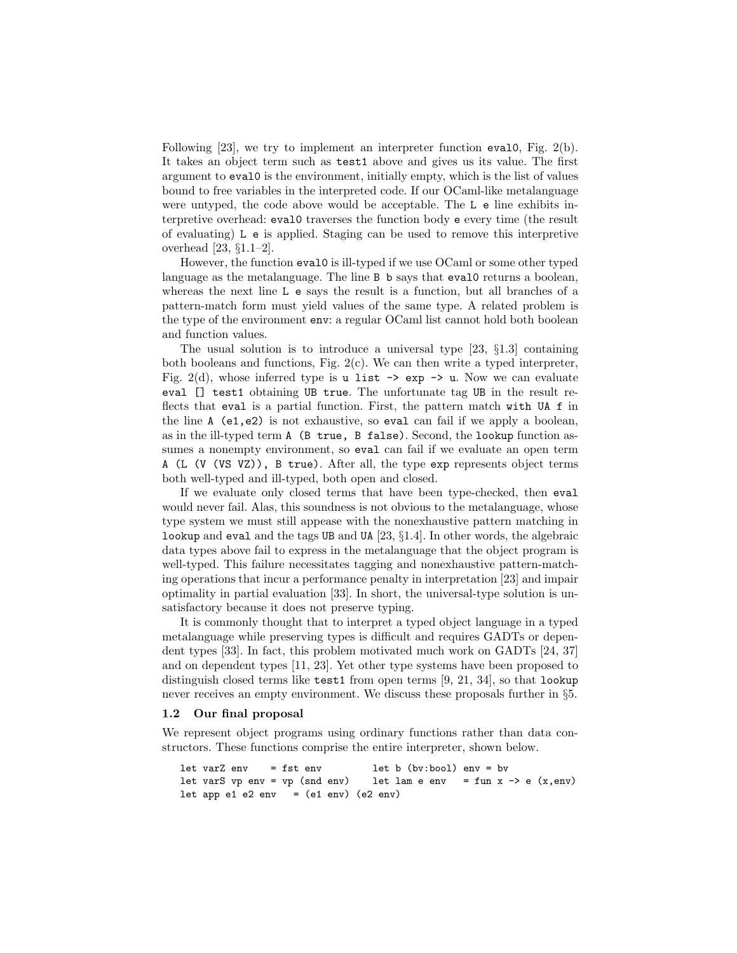Following [23], we try to implement an interpreter function evalor, Fig. 2(b). It takes an object term such as test1 above and gives us its value. The first argument to eval0 is the environment, initially empty, which is the list of values bound to free variables in the interpreted code. If our OCaml-like metalanguage were untyped, the code above would be acceptable. The L e line exhibits interpretive overhead: eval0 traverses the function body e every time (the result of evaluating) L e is applied. Staging can be used to remove this interpretive overhead [23, §1.1–2].

However, the function eval0 is ill-typed if we use OCaml or some other typed language as the metalanguage. The line B b says that eval0 returns a boolean, whereas the next line L e says the result is a function, but all branches of a pattern-match form must yield values of the same type. A related problem is the type of the environment env: a regular OCaml list cannot hold both boolean and function values.

The usual solution is to introduce a universal type [23, §1.3] containing both booleans and functions, Fig. 2(c). We can then write a typed interpreter, Fig. 2(d), whose inferred type is u list  $\rightarrow$  exp  $\rightarrow$  u. Now we can evaluate eval [] test1 obtaining UB true. The unfortunate tag UB in the result reflects that eval is a partial function. First, the pattern match with UA f in the line A (e1,e2) is not exhaustive, so eval can fail if we apply a boolean, as in the ill-typed term A (B true, B false). Second, the lookup function assumes a nonempty environment, so eval can fail if we evaluate an open term A (L (V (VS VZ)), B true). After all, the type exp represents object terms both well-typed and ill-typed, both open and closed.

If we evaluate only closed terms that have been type-checked, then eval would never fail. Alas, this soundness is not obvious to the metalanguage, whose type system we must still appease with the nonexhaustive pattern matching in lookup and eval and the tags UB and UA [23, §1.4]. In other words, the algebraic data types above fail to express in the metalanguage that the object program is well-typed. This failure necessitates tagging and nonexhaustive pattern-matching operations that incur a performance penalty in interpretation [23] and impair optimality in partial evaluation [33]. In short, the universal-type solution is unsatisfactory because it does not preserve typing.

It is commonly thought that to interpret a typed object language in a typed metalanguage while preserving types is difficult and requires GADTs or dependent types [33]. In fact, this problem motivated much work on GADTs [24, 37] and on dependent types [11, 23]. Yet other type systems have been proposed to distinguish closed terms like test1 from open terms [9, 21, 34], so that lookup never receives an empty environment. We discuss these proposals further in §5.

### 1.2 Our final proposal

We represent object programs using ordinary functions rather than data constructors. These functions comprise the entire interpreter, shown below.

```
let varZ env = fst env let b (bv:bool) env = bv
let varS vp env = vp (snd env) let lam e env = fun x -> e (x, env)let app e1 e2 env = (e1 env) (e2 env)
```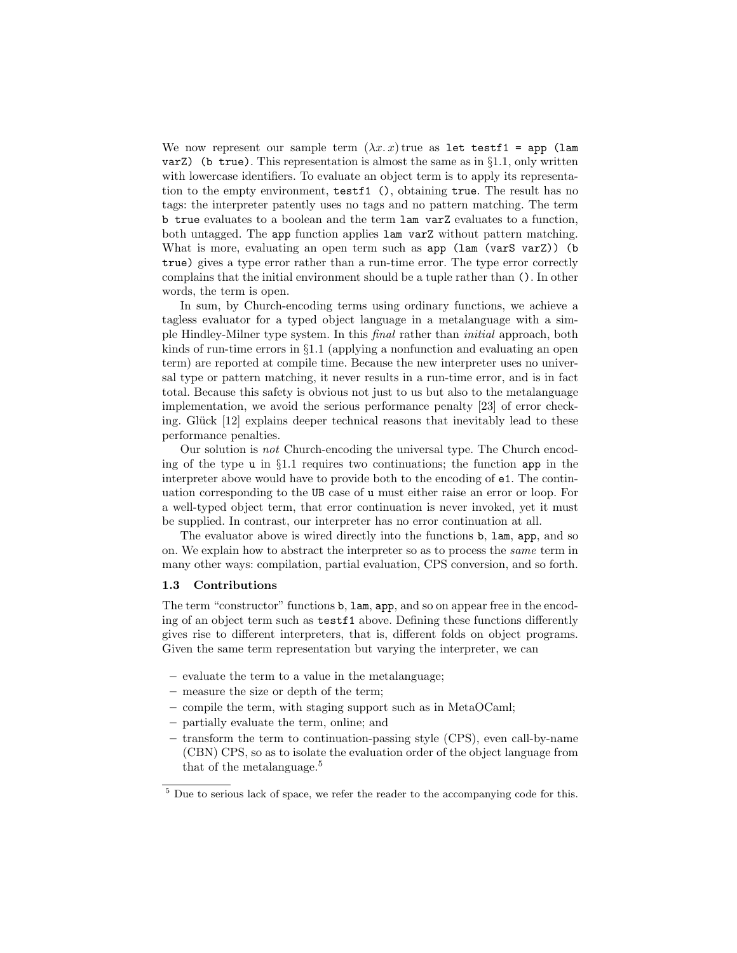We now represent our sample term  $(\lambda x. x)$  true as let testf1 = app (lam **varZ**) (b true). This representation is almost the same as in  $\S1.1$ , only written with lowercase identifiers. To evaluate an object term is to apply its representation to the empty environment, testf1 (), obtaining true. The result has no tags: the interpreter patently uses no tags and no pattern matching. The term b true evaluates to a boolean and the term lam varZ evaluates to a function, both untagged. The app function applies lam varZ without pattern matching. What is more, evaluating an open term such as app (lam (varS varZ)) (b true) gives a type error rather than a run-time error. The type error correctly complains that the initial environment should be a tuple rather than (). In other words, the term is open.

In sum, by Church-encoding terms using ordinary functions, we achieve a tagless evaluator for a typed object language in a metalanguage with a simple Hindley-Milner type system. In this final rather than initial approach, both kinds of run-time errors in  $\S1.1$  (applying a nonfunction and evaluating an open term) are reported at compile time. Because the new interpreter uses no universal type or pattern matching, it never results in a run-time error, and is in fact total. Because this safety is obvious not just to us but also to the metalanguage implementation, we avoid the serious performance penalty [23] of error checking. Glück  $[12]$  explains deeper technical reasons that inevitably lead to these performance penalties.

Our solution is not Church-encoding the universal type. The Church encoding of the type u in §1.1 requires two continuations; the function app in the interpreter above would have to provide both to the encoding of e1. The continuation corresponding to the UB case of u must either raise an error or loop. For a well-typed object term, that error continuation is never invoked, yet it must be supplied. In contrast, our interpreter has no error continuation at all.

The evaluator above is wired directly into the functions b, lam, app, and so on. We explain how to abstract the interpreter so as to process the same term in many other ways: compilation, partial evaluation, CPS conversion, and so forth.

### 1.3 Contributions

The term "constructor" functions b, lam, app, and so on appear free in the encoding of an object term such as testf1 above. Defining these functions differently gives rise to different interpreters, that is, different folds on object programs. Given the same term representation but varying the interpreter, we can

- evaluate the term to a value in the metalanguage;
- measure the size or depth of the term;
- compile the term, with staging support such as in MetaOCaml;
- partially evaluate the term, online; and
- transform the term to continuation-passing style (CPS), even call-by-name (CBN) CPS, so as to isolate the evaluation order of the object language from that of the metalanguage.<sup>5</sup>

<sup>5</sup> Due to serious lack of space, we refer the reader to the accompanying code for this.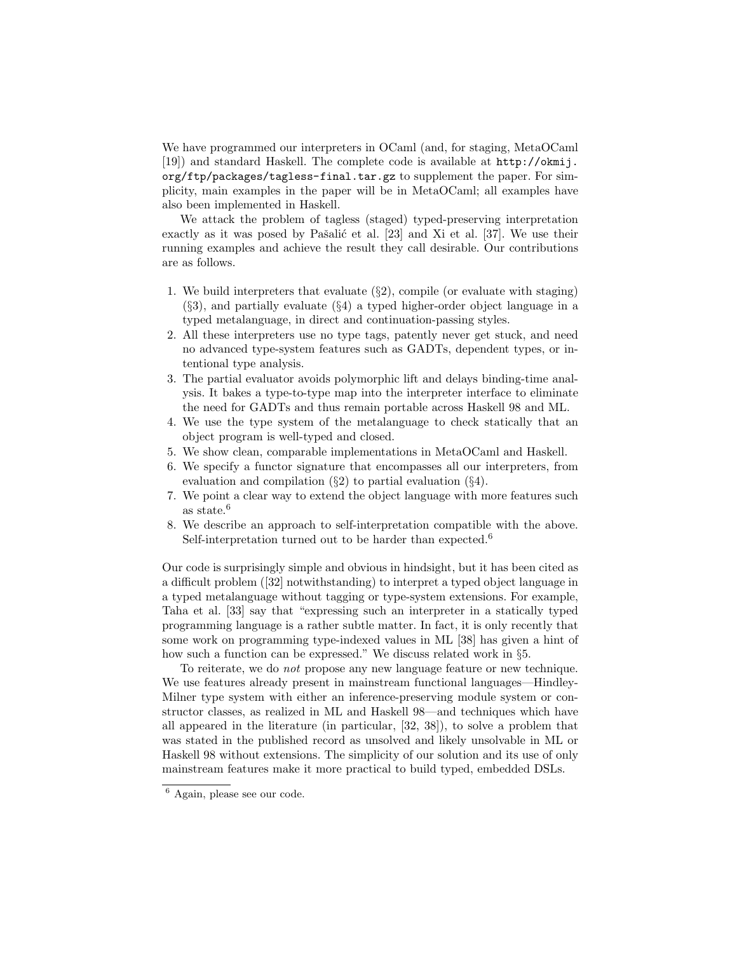We have programmed our interpreters in OCaml (and, for staging, MetaOCaml [19]) and standard Haskell. The complete code is available at http://okmij. org/ftp/packages/tagless-final.tar.gz to supplement the paper. For simplicity, main examples in the paper will be in MetaOCaml; all examples have also been implemented in Haskell.

We attack the problem of tagless (staged) typed-preserving interpretation exactly as it was posed by Pašalić et al. [23] and Xi et al. [37]. We use their running examples and achieve the result they call desirable. Our contributions are as follows.

- 1. We build interpreters that evaluate  $(\S 2)$ , compile (or evaluate with staging)  $(\S3)$ , and partially evaluate  $(\S4)$  a typed higher-order object language in a typed metalanguage, in direct and continuation-passing styles.
- 2. All these interpreters use no type tags, patently never get stuck, and need no advanced type-system features such as GADTs, dependent types, or intentional type analysis.
- 3. The partial evaluator avoids polymorphic lift and delays binding-time analysis. It bakes a type-to-type map into the interpreter interface to eliminate the need for GADTs and thus remain portable across Haskell 98 and ML.
- 4. We use the type system of the metalanguage to check statically that an object program is well-typed and closed.
- 5. We show clean, comparable implementations in MetaOCaml and Haskell.
- 6. We specify a functor signature that encompasses all our interpreters, from evaluation and compilation  $(\S 2)$  to partial evaluation  $(\S 4)$ .
- 7. We point a clear way to extend the object language with more features such as state.<sup>6</sup>
- 8. We describe an approach to self-interpretation compatible with the above. Self-interpretation turned out to be harder than expected.<sup>6</sup>

Our code is surprisingly simple and obvious in hindsight, but it has been cited as a difficult problem ([32] notwithstanding) to interpret a typed object language in a typed metalanguage without tagging or type-system extensions. For example, Taha et al. [33] say that "expressing such an interpreter in a statically typed programming language is a rather subtle matter. In fact, it is only recently that some work on programming type-indexed values in ML [38] has given a hint of how such a function can be expressed." We discuss related work in §5.

To reiterate, we do not propose any new language feature or new technique. We use features already present in mainstream functional languages—Hindley-Milner type system with either an inference-preserving module system or constructor classes, as realized in ML and Haskell 98—and techniques which have all appeared in the literature (in particular, [32, 38]), to solve a problem that was stated in the published record as unsolved and likely unsolvable in ML or Haskell 98 without extensions. The simplicity of our solution and its use of only mainstream features make it more practical to build typed, embedded DSLs.

 $\overline{6}$  Again, please see our code.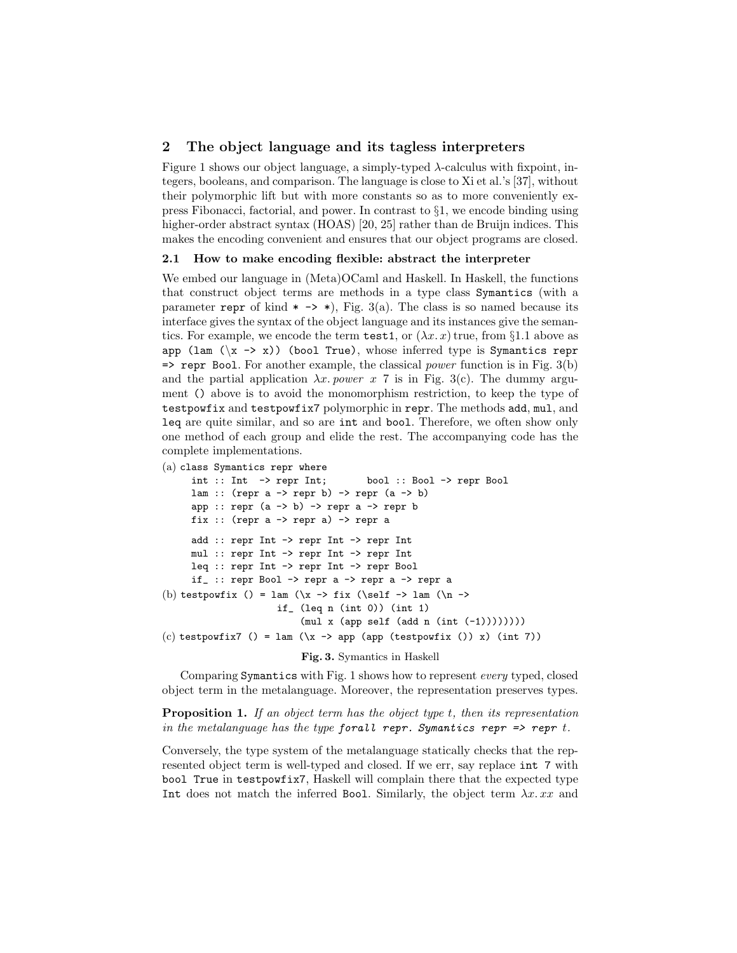## 2 The object language and its tagless interpreters

Figure 1 shows our object language, a simply-typed  $\lambda$ -calculus with fixpoint, integers, booleans, and comparison. The language is close to Xi et al.'s [37], without their polymorphic lift but with more constants so as to more conveniently express Fibonacci, factorial, and power. In contrast to §1, we encode binding using higher-order abstract syntax (HOAS) [20, 25] rather than de Bruijn indices. This makes the encoding convenient and ensures that our object programs are closed.

### 2.1 How to make encoding flexible: abstract the interpreter

We embed our language in (Meta)OCaml and Haskell. In Haskell, the functions that construct object terms are methods in a type class Symantics (with a parameter repr of kind  $* \rightarrow *$ ), Fig. 3(a). The class is so named because its interface gives the syntax of the object language and its instances give the semantics. For example, we encode the term test1, or  $(\lambda x. x)$  true, from §1.1 above as app (lam  $(\x \rightarrow x)$ ) (bool True), whose inferred type is Symantics repr  $\Rightarrow$  repr Bool. For another example, the classical *power* function is in Fig. 3(b) and the partial application  $\lambda x.$  power x 7 is in Fig. 3(c). The dummy argument () above is to avoid the monomorphism restriction, to keep the type of testpowfix and testpowfix7 polymorphic in repr. The methods add, mul, and leq are quite similar, and so are int and bool. Therefore, we often show only one method of each group and elide the rest. The accompanying code has the complete implementations.

(a) class Symantics repr where

```
int :: Int -> repr Int; bool :: Bool -> repr Bool
     lam :: (repr a -> repr b) -> repr (a -> b)app :: repr (a \rightarrow b) \rightarrow repr a \rightarrow repr b
     fix :: (repr a -> repr a) -> repr a
     add :: repr Int -> repr Int -> repr Int
     mul :: repr Int -> repr Int -> repr Int
     leq :: repr Int -> repr Int -> repr Bool
     if_ :: repr Bool -> repr a -> repr a -> repr a
(b) testpowfix () = lam (\x \rightarrow fix (\self \rightarrow \text{lam})(n \rightarrowif_ (leq n (int 0)) (int 1)
                           (mul x (app self (add n (int (-1))))))))(c) testpowfix7 () = lam (\xrightarrow x \rightarrow 2p) (app (testpowfix ()) x) (int 7))
```
Fig. 3. Symantics in Haskell

Comparing Symantics with Fig. 1 shows how to represent every typed, closed object term in the metalanguage. Moreover, the representation preserves types.

**Proposition 1.** If an object term has the object type t, then its representation in the metalanguage has the type forall repr. Symantics repr => repr  $t$ .

Conversely, the type system of the metalanguage statically checks that the represented object term is well-typed and closed. If we err, say replace int 7 with bool True in testpowfix7, Haskell will complain there that the expected type Int does not match the inferred Bool. Similarly, the object term  $\lambda x$ . xx and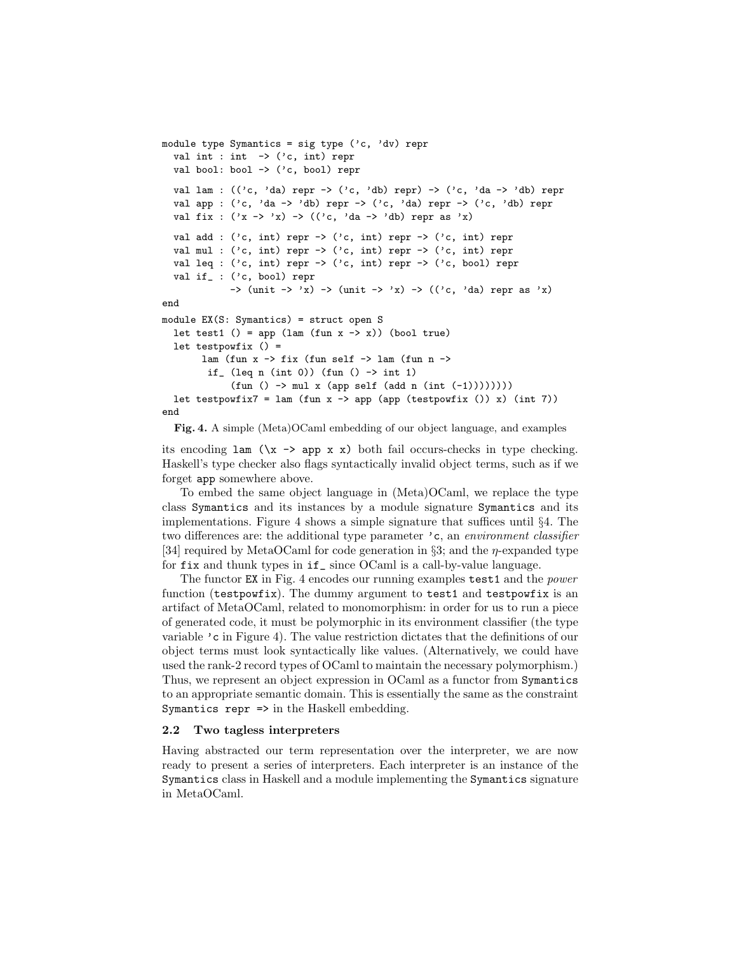```
module type Symantics = sig type ('c, 'dv) repr
 val int : int \rightarrow ('c, int) repr
 val bool: bool -> ('c, bool) repr
  val lam : ('c, 'da) repr -> ('c, 'db) repr) -> ('c, 'da -> 'db) repr
  val app : ('c, 'da -> 'db) repr -> ('c, 'da) repr -> ('c, 'db) repr
  val fix : ('x -> 'x) -> (('c, 'da -> 'db) repr as 'x)
 val add : ('c, int) repr -> ('c, int) repr -> ('c, int) repr
 val mul : ('c, int) repr -> ('c, int) repr -> ('c, int) repr
 val leq : ('c, int) repr -> ('c, int) repr -> ('c, bool) repr
 val if_ : ('c, bool) repr
             \rightarrow (unit \rightarrow 'x) \rightarrow (unit \rightarrow 'x) \rightarrow (('c, 'da) repr as 'x)
end
module EX(S: Symantics) = struct open S
 let test1 () = app (lam (fun x \rightarrow x)) (bool true)
 let testpowfix () =lam (fun x \rightarrow fix (fun self \rightarrow lam (fun n \rightarrowif ( leq n (int 0)) (fun () \rightarrow int 1)
             (fun () \rightarrow mul x (app self (add n (int (-1))))))let testpowfix7 = lam (fun x \rightarrow app (app (testpowfix ()) x) (int 7))
end
```
Fig. 4. A simple (Meta)OCaml embedding of our object language, and examples

its encoding  $\text{lam} (\x \rightarrow \text{app } x x)$  both fail occurs-checks in type checking. Haskell's type checker also flags syntactically invalid object terms, such as if we forget app somewhere above.

To embed the same object language in (Meta)OCaml, we replace the type class Symantics and its instances by a module signature Symantics and its implementations. Figure 4 shows a simple signature that suffices until §4. The two differences are: the additional type parameter 'c, an environment classifier [34] required by MetaOCaml for code generation in §3; and the  $\eta$ -expanded type for fix and thunk types in if\_ since OCaml is a call-by-value language.

The functor **EX** in Fig. 4 encodes our running examples test1 and the *power* function (testpowfix). The dummy argument to test1 and testpowfix is an artifact of MetaOCaml, related to monomorphism: in order for us to run a piece of generated code, it must be polymorphic in its environment classifier (the type variable 'c in Figure 4). The value restriction dictates that the definitions of our object terms must look syntactically like values. (Alternatively, we could have used the rank-2 record types of OCaml to maintain the necessary polymorphism.) Thus, we represent an object expression in OCaml as a functor from Symantics to an appropriate semantic domain. This is essentially the same as the constraint Symantics repr => in the Haskell embedding.

### 2.2 Two tagless interpreters

Having abstracted our term representation over the interpreter, we are now ready to present a series of interpreters. Each interpreter is an instance of the Symantics class in Haskell and a module implementing the Symantics signature in MetaOCaml.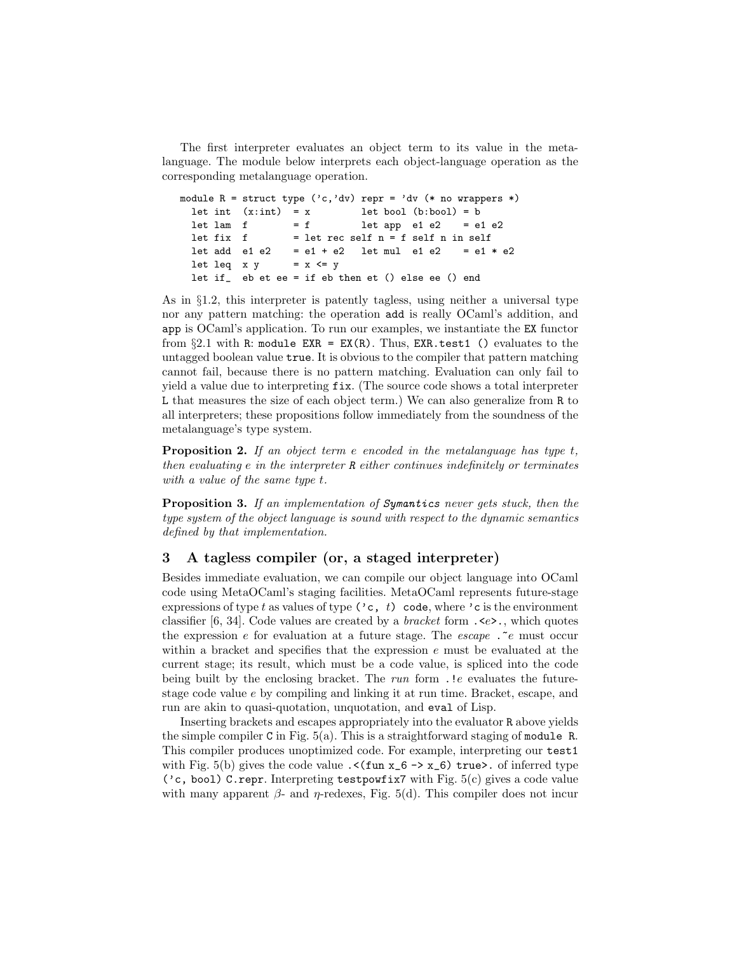The first interpreter evaluates an object term to its value in the metalanguage. The module below interprets each object-language operation as the corresponding metalanguage operation.

```
module R = struct type ('c,'dv) repr = 'dv (* no wrappers *)
 let int (x:int) = x let bool (b:bool) = blet lam f = f let app e1 e2 = e1 e2let fix f = let rec self n = f self n in selflet add e1 e2 = e1 + e2 let mul e1 e2 = e1 * e2<br>let leq x y = x <= y
 let leq x y
 let if_ eb et ee = if eb then et () else ee () end
```
As in §1.2, this interpreter is patently tagless, using neither a universal type nor any pattern matching: the operation add is really OCaml's addition, and app is OCaml's application. To run our examples, we instantiate the EX functor from  $\S2.1$  with R: module EXR = EX(R). Thus, EXR.test1 () evaluates to the untagged boolean value true. It is obvious to the compiler that pattern matching cannot fail, because there is no pattern matching. Evaluation can only fail to yield a value due to interpreting fix. (The source code shows a total interpreter L that measures the size of each object term.) We can also generalize from R to all interpreters; these propositions follow immediately from the soundness of the metalanguage's type system.

**Proposition 2.** If an object term e encoded in the metalanguage has type  $t$ , then evaluating  $e$  in the interpreter  $R$  either continues indefinitely or terminates with a value of the same type t.

Proposition 3. If an implementation of Symantics never gets stuck, then the type system of the object language is sound with respect to the dynamic semantics defined by that implementation.

# 3 A tagless compiler (or, a staged interpreter)

Besides immediate evaluation, we can compile our object language into OCaml code using MetaOCaml's staging facilities. MetaOCaml represents future-stage expressions of type t as values of type  $(2c, t)$  code, where  $2c$  is the environment classifier [6, 34]. Code values are created by a *bracket* form  $\cdot \langle e \rangle$ , which quotes the expression e for evaluation at a future stage. The escape  $\tilde{e}$  e must occur within a bracket and specifies that the expression e must be evaluated at the current stage; its result, which must be a code value, is spliced into the code being built by the enclosing bracket. The run form  $\theta$ . Ie evaluates the futurestage code value e by compiling and linking it at run time. Bracket, escape, and run are akin to quasi-quotation, unquotation, and eval of Lisp.

Inserting brackets and escapes appropriately into the evaluator R above yields the simple compiler C in Fig.  $5(a)$ . This is a straightforward staging of module R. This compiler produces unoptimized code. For example, interpreting our test1 with Fig. 5(b) gives the code value  $\cdot$  (fun x\_6 -> x\_6) true>. of inferred type ( $'c$ , bool) C.repr. Interpreting testpowfix7 with Fig. 5(c) gives a code value with many apparent  $\beta$ - and  $\eta$ -redexes, Fig. 5(d). This compiler does not incur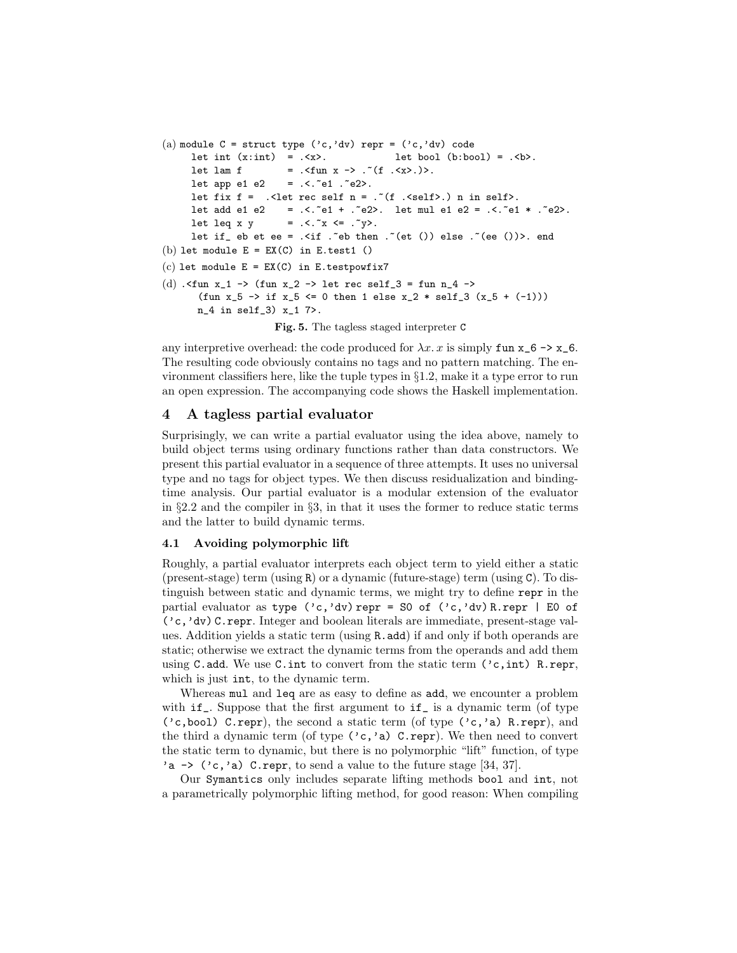```
(a) module C = struct type ('c,'dv) repr = ('c,'dv) code
     let int (x:int) = .\langle x \rangle. let bool (b:bool) = .\langle b \rangle.
     let lam f = .<fun x -> . f(x).
     let app e1 e2 = .<.~e1 .~e2>.
     let fix f =. < let rec self n =. ~(f . < self>.) n in self>.
     let add e1 e2 = .<.~e1 + .~e2>. let mul e1 e2 = .<.~e1 * .~e2>.
     let leq x y = \langle \cdot, \cdot \rangle x <= \cdot \cdot \rangle.
     let if_ eb et ee = .<if .~eb then .~(et ()) else .~(ee ())>. end
(b) let module E = EX(C) in E.test1 ()
(c) let module E = EX(C) in E.testpowfix7
(d) \text{Stun } x_1 \rightarrow \text{fun } x_2 \rightarrow \text{let } rec \text{ self}_3 = \text{fun } n_4 \rightarrow(fun x_5 -> if x_5 <= 0 then 1 else x_2 * self_3 (x_5 + (-1)))
       n_4 in self_3) x_1 7>.
                       Fig. 5. The tagless staged interpreter C
```
any interpretive overhead: the code produced for  $\lambda x$ . x is simply fun x\_6 -> x\_6. The resulting code obviously contains no tags and no pattern matching. The environment classifiers here, like the tuple types in §1.2, make it a type error to run an open expression. The accompanying code shows the Haskell implementation.

# 4 A tagless partial evaluator

Surprisingly, we can write a partial evaluator using the idea above, namely to build object terms using ordinary functions rather than data constructors. We present this partial evaluator in a sequence of three attempts. It uses no universal type and no tags for object types. We then discuss residualization and bindingtime analysis. Our partial evaluator is a modular extension of the evaluator in §2.2 and the compiler in §3, in that it uses the former to reduce static terms and the latter to build dynamic terms.

### 4.1 Avoiding polymorphic lift

Roughly, a partial evaluator interprets each object term to yield either a static (present-stage) term (using R) or a dynamic (future-stage) term (using C). To distinguish between static and dynamic terms, we might try to define repr in the partial evaluator as type ('c,'dv) repr = S0 of ('c,'dv) R.repr | E0 of ('c,'dv) C.repr. Integer and boolean literals are immediate, present-stage values. Addition yields a static term (using R.add) if and only if both operands are static; otherwise we extract the dynamic terms from the operands and add them using C.add. We use C.int to convert from the static term  $('c,int)$  R.repr, which is just  $int$ , to the dynamic term.

Whereas mul and leq are as easy to define as add, we encounter a problem with  $if$ . Suppose that the first argument to  $if$  is a dynamic term (of type ( $'c$ ,bool) C.repr), the second a static term (of type ( $'c$ , a) R.repr), and the third a dynamic term (of type  $('c, 'a)$ ) C.repr). We then need to convert the static term to dynamic, but there is no polymorphic "lift" function, of type 'a  $\rightarrow$  ('c,'a) C.repr, to send a value to the future stage [34, 37].

Our Symantics only includes separate lifting methods bool and int, not a parametrically polymorphic lifting method, for good reason: When compiling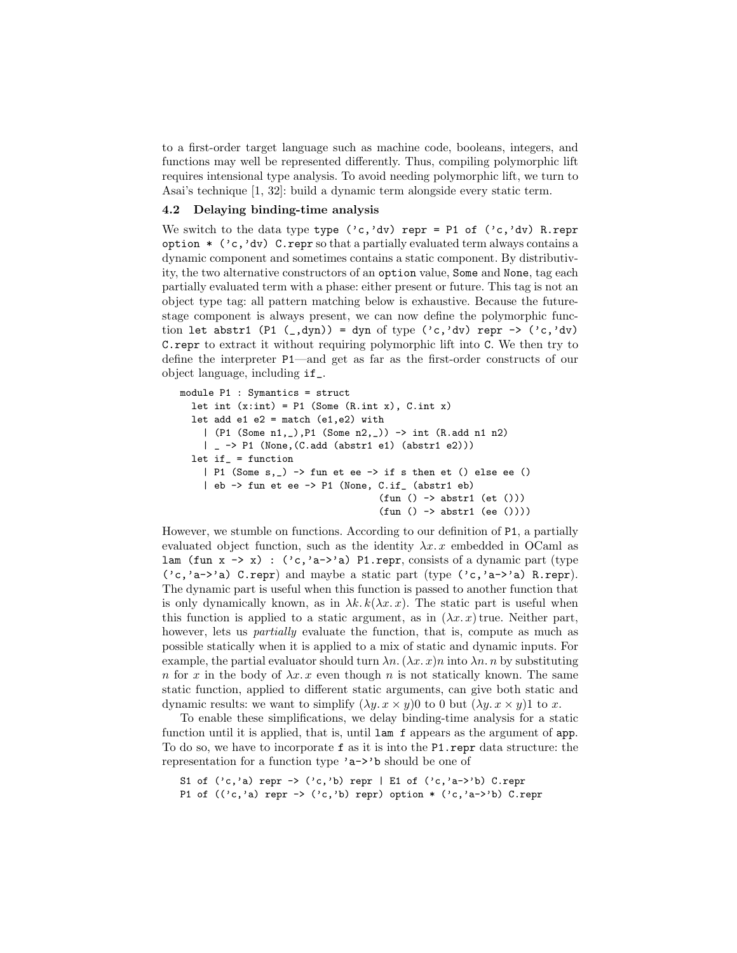to a first-order target language such as machine code, booleans, integers, and functions may well be represented differently. Thus, compiling polymorphic lift requires intensional type analysis. To avoid needing polymorphic lift, we turn to Asai's technique [1, 32]: build a dynamic term alongside every static term.

#### 4.2 Delaying binding-time analysis

We switch to the data type  $('c,'dv)$  repr = P1 of  $('c,'dv)$  R.repr option  $*$  ('c,'dv) C.repr so that a partially evaluated term always contains a dynamic component and sometimes contains a static component. By distributivity, the two alternative constructors of an option value, Some and None, tag each partially evaluated term with a phase: either present or future. This tag is not an object type tag: all pattern matching below is exhaustive. Because the futurestage component is always present, we can now define the polymorphic function let abstr1 (P1  $($ ,dyn)) = dyn of type  $('c, 'dv)$  repr ->  $('c, 'dv)$ C.repr to extract it without requiring polymorphic lift into C. We then try to define the interpreter P1—and get as far as the first-order constructs of our object language, including if\_.

```
module P1 : Symantics = struct
  let int (x:int) = P1 (Some (R.int x), C.int x)
  let add e1 e2 = match (e1,e2) with
    | (P1 (Some n1,_),P1 (Some n2,_)) -> int (R.add n1 n2)
    | _ -> P1 (None,(C.add (abstr1 e1) (abstr1 e2)))
  let if_ = function
    | P1 (Some s,_) -> fun et ee -> if s then et () else ee ()
    | eb -> fun et ee -> P1 (None, C.if_ (abstr1 eb)
                                     (fun () \rightarrow abstr1 (et ()))(fun () \rightarrow abstr1 (ee ())))
```
However, we stumble on functions. According to our definition of P1, a partially evaluated object function, such as the identity  $\lambda x. x$  embedded in OCaml as lam (fun  $x \rightarrow x$ ) : ('c,'a->'a) P1.repr, consists of a dynamic part (type  $('c,'a->')$  C.repr) and maybe a static part (type  $('c,'a->')$  R.repr). The dynamic part is useful when this function is passed to another function that is only dynamically known, as in  $\lambda k. k(\lambda x. x)$ . The static part is useful when this function is applied to a static argument, as in  $(\lambda x. x)$  true. Neither part, however, lets us *partially* evaluate the function, that is, compute as much as possible statically when it is applied to a mix of static and dynamic inputs. For example, the partial evaluator should turn  $\lambda n$ .  $(\lambda x. x)n$  into  $\lambda n$ . n by substituting n for x in the body of  $\lambda x. x$  even though n is not statically known. The same static function, applied to different static arguments, can give both static and dynamic results: we want to simplify  $(\lambda y. x \times y)0$  to 0 but  $(\lambda y. x \times y)1$  to x.

To enable these simplifications, we delay binding-time analysis for a static function until it is applied, that is, until lam f appears as the argument of app. To do so, we have to incorporate f as it is into the P1.repr data structure: the representation for a function type 'a->'b should be one of

```
S1 of ('c,'a) repr \rightarrow ('c,'b) repr | E1 of ('c,'a->'b) C.repr
P1 of ((c, 'a) repr \rightarrow (c', 'b) repr) option * (c, 'a \rightarrow 'b) C.repr
```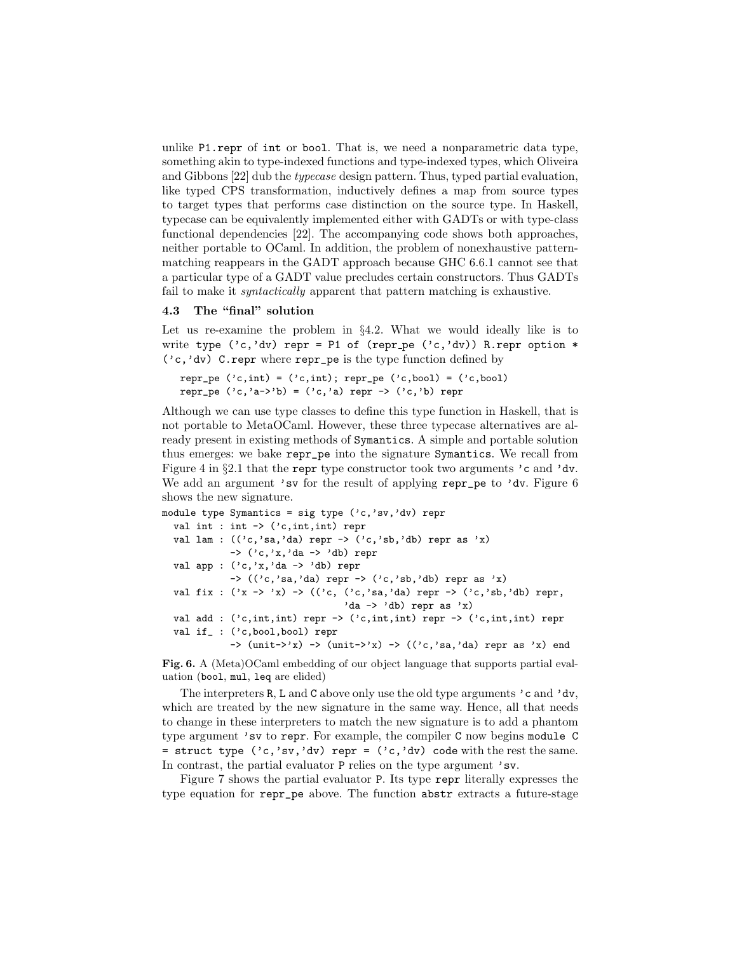unlike P1.repr of int or bool. That is, we need a nonparametric data type, something akin to type-indexed functions and type-indexed types, which Oliveira and Gibbons [22] dub the typecase design pattern. Thus, typed partial evaluation, like typed CPS transformation, inductively defines a map from source types to target types that performs case distinction on the source type. In Haskell, typecase can be equivalently implemented either with GADTs or with type-class functional dependencies [22]. The accompanying code shows both approaches, neither portable to OCaml. In addition, the problem of nonexhaustive patternmatching reappears in the GADT approach because GHC 6.6.1 cannot see that a particular type of a GADT value precludes certain constructors. Thus GADTs fail to make it syntactically apparent that pattern matching is exhaustive.

### 4.3 The "final" solution

Let us re-examine the problem in §4.2. What we would ideally like is to write type ('c,'dv) repr = P1 of (repr\_pe ('c,'dv)) R.repr option  $*$ ('c,'dv) C.repr where repr\_pe is the type function defined by

```
repr_pe ('c, int) = ('c, int); repr_pe ('c, bool) = ('c, bool)repr_pe ('c,'a->'b) = ('c,'a) repr \rightarrow ('c,'b) repr
```
Although we can use type classes to define this type function in Haskell, that is not portable to MetaOCaml. However, these three typecase alternatives are already present in existing methods of Symantics. A simple and portable solution thus emerges: we bake repr\_pe into the signature Symantics. We recall from Figure 4 in §2.1 that the repr type constructor took two arguments 'c and 'dv. We add an argument 'sv for the result of applying repr\_pe to 'dv. Figure 6 shows the new signature.

```
module type Symantics = sig type ('c,'sv,'dv) repr
  val int : int \rightarrow ('c, int, int) repr
  val lam : ((c, 'sa, 'da) repr \rightarrow ('c, 'sb, 'db) repr as 'x)
               \rightarrow ('c,'x,'da -> 'db) repr
  val app : ('c,'x,'da -> 'db) repr
               \rightarrow (('c,'sa,'da) repr \rightarrow ('c,'sb,'db) repr as 'x)
  val fix : ('x \rightarrow 'x) \rightarrow (('c, ('c, 'sa, 'da) \text{ repr } \rightarrow ('c, 'sb, 'db) \text{ repr},'da \rightarrow 'db) repr as 'x)
  val add : ('c,int,int) repr \rightarrow ('c,int,int) repr \rightarrow ('c,int,int) repr
  val if_ : ('c,bool,bool) repr
               \rightarrow (unit->'x) -> (unit->'x) -> (('c,'sa,'da) repr as 'x) end
```
Fig. 6. A (Meta)OCaml embedding of our object language that supports partial evaluation (bool, mul, leq are elided)

The interpreters R, L and C above only use the old type arguments 'c and 'dv, which are treated by the new signature in the same way. Hence, all that needs to change in these interpreters to match the new signature is to add a phantom type argument 'sv to repr. For example, the compiler C now begins module C = struct type  $('c,'sv,'dv)$  repr =  $('c,'dv)$  code with the rest the same. In contrast, the partial evaluator P relies on the type argument 'sv.

Figure 7 shows the partial evaluator P. Its type repr literally expresses the type equation for repr\_pe above. The function abstr extracts a future-stage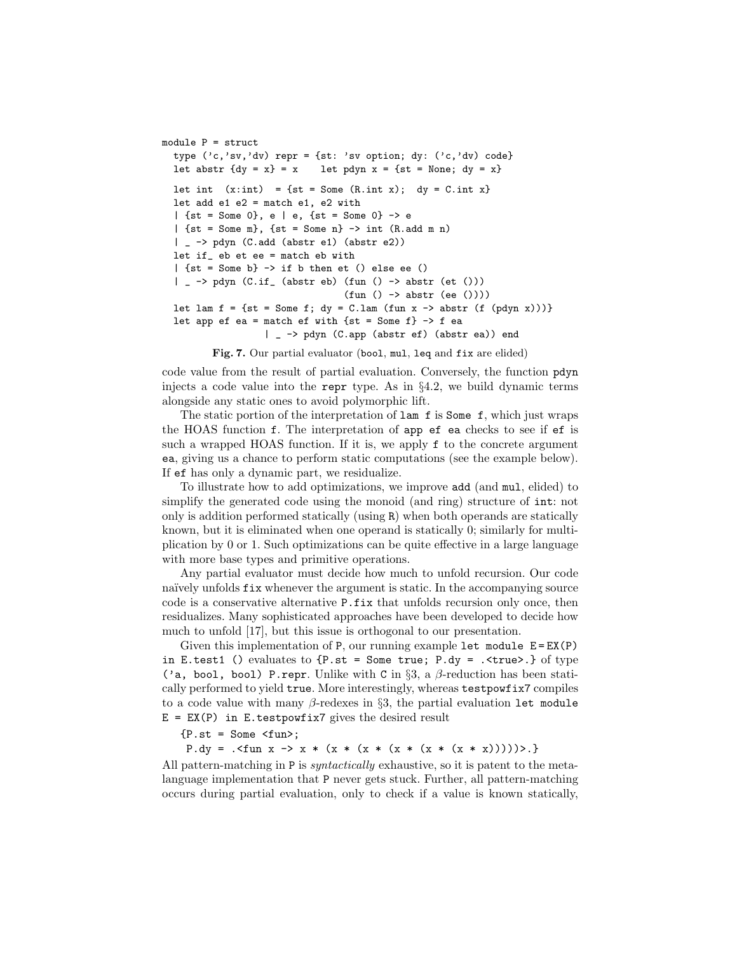```
module P = struct
  type ('c,'sv,'dv) repr = {st: 'sv option; dy: ('c,'dv) code}
 let abstr \{dy = x\} = x let pdyn x = \{st = None; dy = x\}let int (x:int) = {st = Some (R.int x)}; dy = C.int x}let add e1 e2 = match e1, e2 with
  | {st = Some 0}, e | e, {st = Some 0} -> e
  | {st = Some m}, {st = Some n} -> int (R.add m n)
  | _ -> pdyn (C.add (abstr e1) (abstr e2))
 let if_ eb et ee = match eb with
  | {st = Some b} -> if b then et () else ee ()
  | \rightarrow pdyn (C.if<sub></sub> (abstr eb) (fun () \rightarrow abstr (et ()))
                                  (fun () \rightarrow abstr (ee ())))let lam f = \{st = Some f; dy = C.lam (fun x -> abstr (f (pdyn x)))\}let app ef ea = match ef with \{st = Some f\} \rightarrow f ea
                   | _ -> pdyn (C.app (abstr ef) (abstr ea)) end
```
#### Fig. 7. Our partial evaluator (bool, mul, leq and fix are elided)

code value from the result of partial evaluation. Conversely, the function pdyn injects a code value into the repr type. As in §4.2, we build dynamic terms alongside any static ones to avoid polymorphic lift.

The static portion of the interpretation of lam f is Some f, which just wraps the HOAS function f. The interpretation of app ef ea checks to see if ef is such a wrapped HOAS function. If it is, we apply f to the concrete argument ea, giving us a chance to perform static computations (see the example below). If ef has only a dynamic part, we residualize.

To illustrate how to add optimizations, we improve add (and mul, elided) to simplify the generated code using the monoid (and ring) structure of int: not only is addition performed statically (using R) when both operands are statically known, but it is eliminated when one operand is statically 0; similarly for multiplication by 0 or 1. Such optimizations can be quite effective in a large language with more base types and primitive operations.

Any partial evaluator must decide how much to unfold recursion. Our code naïvely unfolds fix whenever the argument is static. In the accompanying source code is a conservative alternative P.fix that unfolds recursion only once, then residualizes. Many sophisticated approaches have been developed to decide how much to unfold [17], but this issue is orthogonal to our presentation.

Given this implementation of P, our running example let module  $E = EX(P)$ in E.test1 () evaluates to  $\{P.st = Some true; P.dy = .< true > .\}$  of type ('a, bool, bool) P.repr. Unlike with C in §3, a  $\beta$ -reduction has been statically performed to yield true. More interestingly, whereas testpowfix7 compiles to a code value with many  $\beta$ -redexes in §3, the partial evaluation let module  $E = EX(P)$  in E.testpowfix7 gives the desired result

 ${P.st = Some \n<sub>1</sub>$ 

P.dy = .< fun  $x \to x * (x * (x * (x * (x * (x * x))))))$ .}

All pattern-matching in P is *syntactically* exhaustive, so it is patent to the metalanguage implementation that P never gets stuck. Further, all pattern-matching occurs during partial evaluation, only to check if a value is known statically,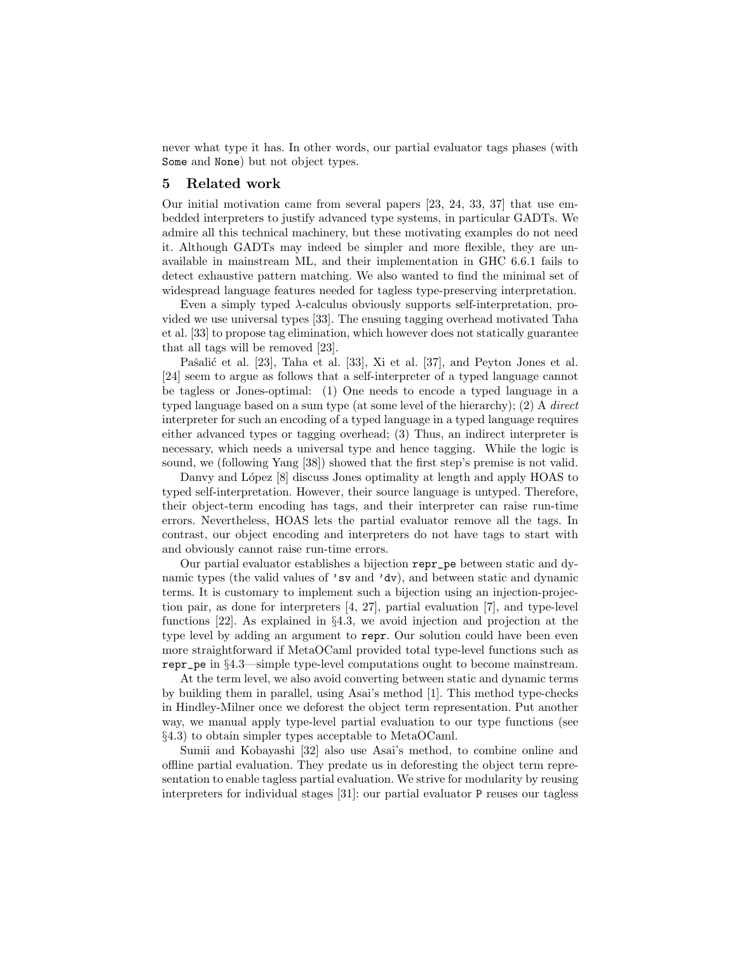never what type it has. In other words, our partial evaluator tags phases (with Some and None) but not object types.

# 5 Related work

Our initial motivation came from several papers [23, 24, 33, 37] that use embedded interpreters to justify advanced type systems, in particular GADTs. We admire all this technical machinery, but these motivating examples do not need it. Although GADTs may indeed be simpler and more flexible, they are unavailable in mainstream ML, and their implementation in GHC 6.6.1 fails to detect exhaustive pattern matching. We also wanted to find the minimal set of widespread language features needed for tagless type-preserving interpretation.

Even a simply typed λ-calculus obviously supports self-interpretation, provided we use universal types [33]. The ensuing tagging overhead motivated Taha et al. [33] to propose tag elimination, which however does not statically guarantee that all tags will be removed [23].

Pašalić et al. [23], Taha et al. [33], Xi et al. [37], and Peyton Jones et al. [24] seem to argue as follows that a self-interpreter of a typed language cannot be tagless or Jones-optimal: (1) One needs to encode a typed language in a typed language based on a sum type (at some level of the hierarchy); (2) A direct interpreter for such an encoding of a typed language in a typed language requires either advanced types or tagging overhead; (3) Thus, an indirect interpreter is necessary, which needs a universal type and hence tagging. While the logic is sound, we (following Yang [38]) showed that the first step's premise is not valid.

Danvy and López [8] discuss Jones optimality at length and apply HOAS to typed self-interpretation. However, their source language is untyped. Therefore, their object-term encoding has tags, and their interpreter can raise run-time errors. Nevertheless, HOAS lets the partial evaluator remove all the tags. In contrast, our object encoding and interpreters do not have tags to start with and obviously cannot raise run-time errors.

Our partial evaluator establishes a bijection repr\_pe between static and dynamic types (the valid values of 'sv and 'dv), and between static and dynamic terms. It is customary to implement such a bijection using an injection-projection pair, as done for interpreters [4, 27], partial evaluation [7], and type-level functions [22]. As explained in §4.3, we avoid injection and projection at the type level by adding an argument to repr. Our solution could have been even more straightforward if MetaOCaml provided total type-level functions such as repr\_pe in §4.3—simple type-level computations ought to become mainstream.

At the term level, we also avoid converting between static and dynamic terms by building them in parallel, using Asai's method [1]. This method type-checks in Hindley-Milner once we deforest the object term representation. Put another way, we manual apply type-level partial evaluation to our type functions (see §4.3) to obtain simpler types acceptable to MetaOCaml.

Sumii and Kobayashi [32] also use Asai's method, to combine online and offline partial evaluation. They predate us in deforesting the object term representation to enable tagless partial evaluation. We strive for modularity by reusing interpreters for individual stages [31]: our partial evaluator P reuses our tagless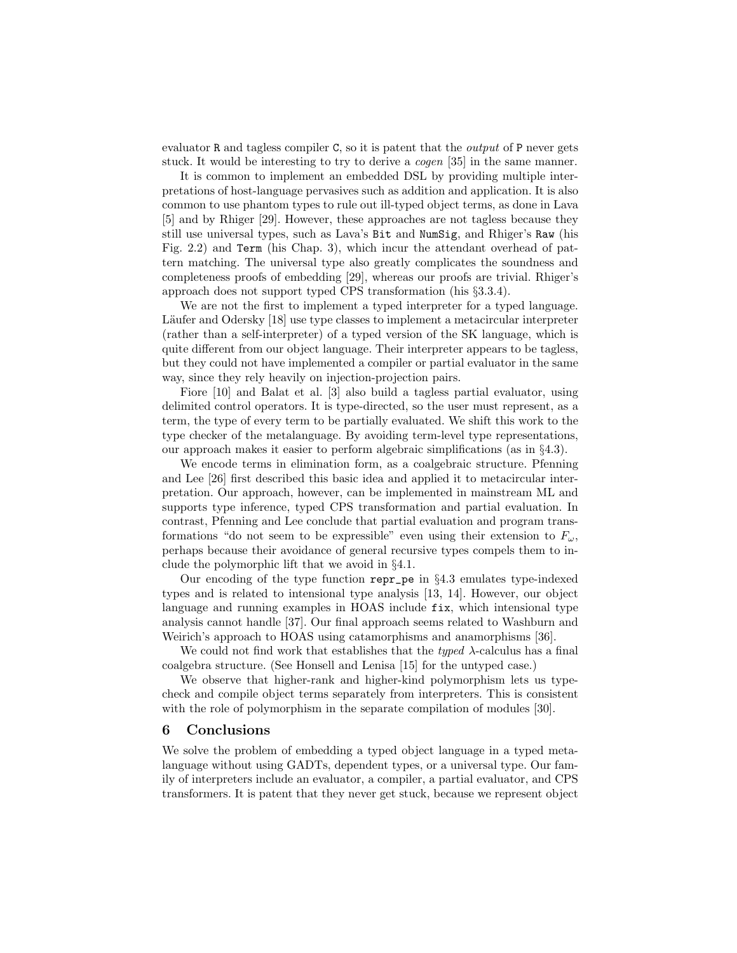evaluator R and tagless compiler C, so it is patent that the *output* of P never gets stuck. It would be interesting to try to derive a cogen [35] in the same manner.

It is common to implement an embedded DSL by providing multiple interpretations of host-language pervasives such as addition and application. It is also common to use phantom types to rule out ill-typed object terms, as done in Lava [5] and by Rhiger [29]. However, these approaches are not tagless because they still use universal types, such as Lava's Bit and NumSig, and Rhiger's Raw (his Fig. 2.2) and Term (his Chap. 3), which incur the attendant overhead of pattern matching. The universal type also greatly complicates the soundness and completeness proofs of embedding [29], whereas our proofs are trivial. Rhiger's approach does not support typed CPS transformation (his §3.3.4).

We are not the first to implement a typed interpreter for a typed language. Läufer and Odersky [18] use type classes to implement a metacircular interpreter (rather than a self-interpreter) of a typed version of the SK language, which is quite different from our object language. Their interpreter appears to be tagless, but they could not have implemented a compiler or partial evaluator in the same way, since they rely heavily on injection-projection pairs.

Fiore [10] and Balat et al. [3] also build a tagless partial evaluator, using delimited control operators. It is type-directed, so the user must represent, as a term, the type of every term to be partially evaluated. We shift this work to the type checker of the metalanguage. By avoiding term-level type representations, our approach makes it easier to perform algebraic simplifications (as in §4.3).

We encode terms in elimination form, as a coalgebraic structure. Pfenning and Lee [26] first described this basic idea and applied it to metacircular interpretation. Our approach, however, can be implemented in mainstream ML and supports type inference, typed CPS transformation and partial evaluation. In contrast, Pfenning and Lee conclude that partial evaluation and program transformations "do not seem to be expressible" even using their extension to  $F_{\omega}$ , perhaps because their avoidance of general recursive types compels them to include the polymorphic lift that we avoid in §4.1.

Our encoding of the type function repr\_pe in §4.3 emulates type-indexed types and is related to intensional type analysis [13, 14]. However, our object language and running examples in HOAS include fix, which intensional type analysis cannot handle [37]. Our final approach seems related to Washburn and Weirich's approach to HOAS using catamorphisms and anamorphisms [36].

We could not find work that establishes that the *typed*  $\lambda$ -calculus has a final coalgebra structure. (See Honsell and Lenisa [15] for the untyped case.)

We observe that higher-rank and higher-kind polymorphism lets us typecheck and compile object terms separately from interpreters. This is consistent with the role of polymorphism in the separate compilation of modules [30].

### 6 Conclusions

We solve the problem of embedding a typed object language in a typed metalanguage without using GADTs, dependent types, or a universal type. Our family of interpreters include an evaluator, a compiler, a partial evaluator, and CPS transformers. It is patent that they never get stuck, because we represent object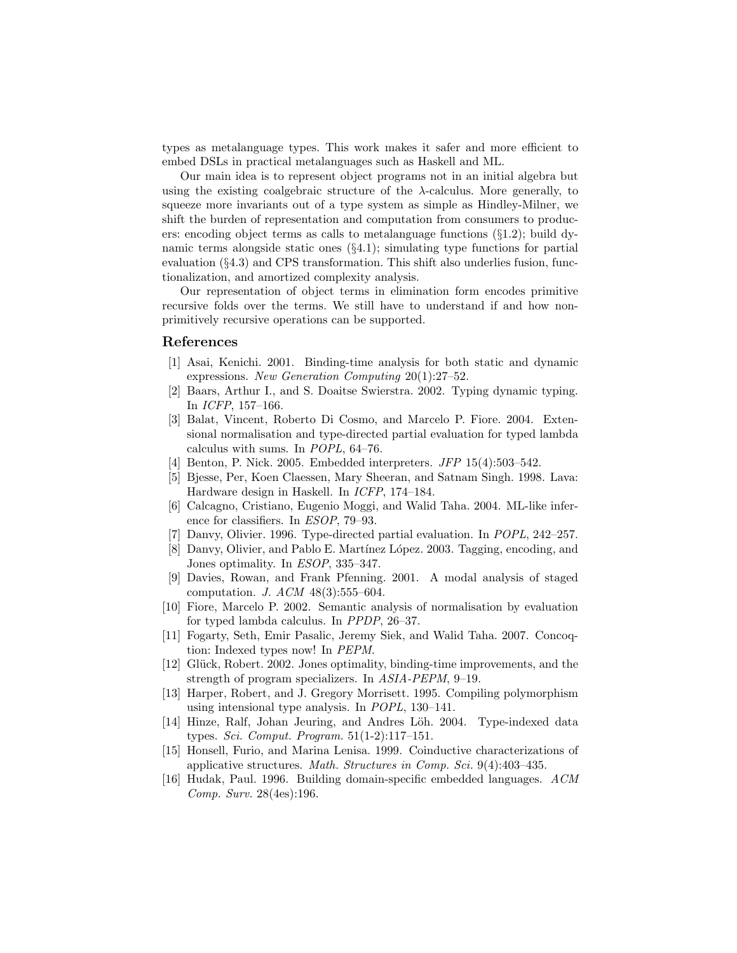types as metalanguage types. This work makes it safer and more efficient to embed DSLs in practical metalanguages such as Haskell and ML.

Our main idea is to represent object programs not in an initial algebra but using the existing coalgebraic structure of the  $\lambda$ -calculus. More generally, to squeeze more invariants out of a type system as simple as Hindley-Milner, we shift the burden of representation and computation from consumers to producers: encoding object terms as calls to metalanguage functions  $(\S1.2)$ ; build dynamic terms alongside static ones (§4.1); simulating type functions for partial evaluation  $(\S 4.3)$  and CPS transformation. This shift also underlies fusion, functionalization, and amortized complexity analysis.

Our representation of object terms in elimination form encodes primitive recursive folds over the terms. We still have to understand if and how nonprimitively recursive operations can be supported.

### References

- [1] Asai, Kenichi. 2001. Binding-time analysis for both static and dynamic expressions. New Generation Computing 20(1):27–52.
- [2] Baars, Arthur I., and S. Doaitse Swierstra. 2002. Typing dynamic typing. In ICFP, 157–166.
- [3] Balat, Vincent, Roberto Di Cosmo, and Marcelo P. Fiore. 2004. Extensional normalisation and type-directed partial evaluation for typed lambda calculus with sums. In POPL, 64–76.
- [4] Benton, P. Nick. 2005. Embedded interpreters. JFP 15(4):503–542.
- [5] Bjesse, Per, Koen Claessen, Mary Sheeran, and Satnam Singh. 1998. Lava: Hardware design in Haskell. In ICFP, 174–184.
- [6] Calcagno, Cristiano, Eugenio Moggi, and Walid Taha. 2004. ML-like inference for classifiers. In *ESOP*, 79–93.
- [7] Danvy, Olivier. 1996. Type-directed partial evaluation. In POPL, 242–257.
- [8] Danvy, Olivier, and Pablo E. Martínez López. 2003. Tagging, encoding, and Jones optimality. In ESOP, 335–347.
- [9] Davies, Rowan, and Frank Pfenning. 2001. A modal analysis of staged computation. *J.*  $ACM$  48(3):555–604.
- [10] Fiore, Marcelo P. 2002. Semantic analysis of normalisation by evaluation for typed lambda calculus. In PPDP, 26–37.
- [11] Fogarty, Seth, Emir Pasalic, Jeremy Siek, and Walid Taha. 2007. Concoqtion: Indexed types now! In PEPM.
- [12] Glück, Robert. 2002. Jones optimality, binding-time improvements, and the strength of program specializers. In ASIA-PEPM, 9–19.
- [13] Harper, Robert, and J. Gregory Morrisett. 1995. Compiling polymorphism using intensional type analysis. In POPL, 130–141.
- [14] Hinze, Ralf, Johan Jeuring, and Andres Löh. 2004. Type-indexed data types. Sci. Comput. Program. 51(1-2):117–151.
- [15] Honsell, Furio, and Marina Lenisa. 1999. Coinductive characterizations of applicative structures. Math. Structures in Comp. Sci. 9(4):403-435.
- [16] Hudak, Paul. 1996. Building domain-specific embedded languages. ACM Comp. Surv. 28(4es):196.